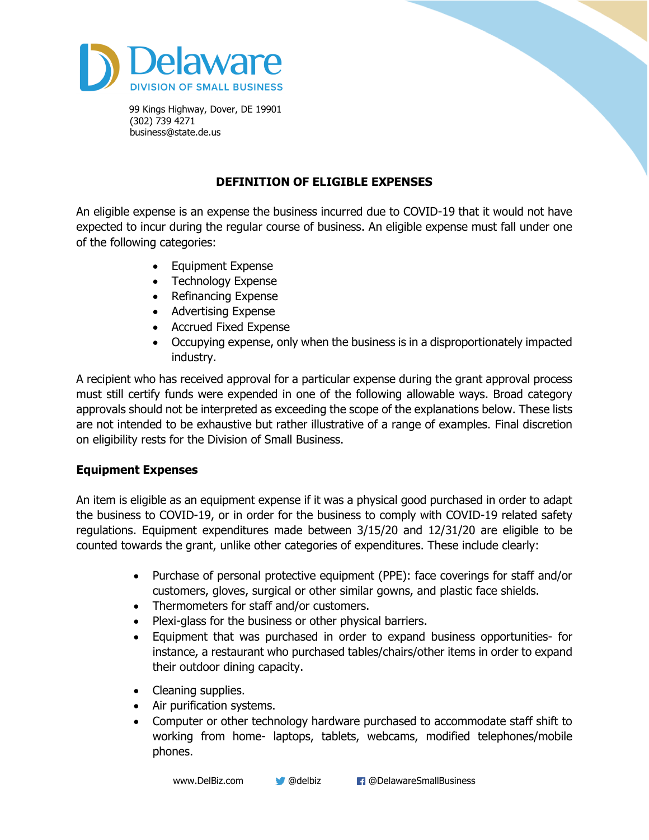

# **DEFINITION OF ELIGIBLE EXPENSES**

An eligible expense is an expense the business incurred due to COVID-19 that it would not have expected to incur during the regular course of business. An eligible expense must fall under one of the following categories:

- Equipment Expense
- Technology Expense
- Refinancing Expense
- Advertising Expense
- Accrued Fixed Expense
- Occupying expense, only when the business is in a disproportionately impacted industry.

A recipient who has received approval for a particular expense during the grant approval process must still certify funds were expended in one of the following allowable ways. Broad category approvals should not be interpreted as exceeding the scope of the explanations below. These lists are not intended to be exhaustive but rather illustrative of a range of examples. Final discretion on eligibility rests for the Division of Small Business.

## **Equipment Expenses**

An item is eligible as an equipment expense if it was a physical good purchased in order to adapt the business to COVID-19, or in order for the business to comply with COVID-19 related safety regulations. Equipment expenditures made between 3/15/20 and 12/31/20 are eligible to be counted towards the grant, unlike other categories of expenditures. These include clearly:

- Purchase of personal protective equipment (PPE): face coverings for staff and/or customers, gloves, surgical or other similar gowns, and plastic face shields.
- Thermometers for staff and/or customers.
- Plexi-glass for the business or other physical barriers.
- Equipment that was purchased in order to expand business opportunities- for instance, a restaurant who purchased tables/chairs/other items in order to expand their outdoor dining capacity.
- Cleaning supplies.
- Air purification systems.
- Computer or other technology hardware purchased to accommodate staff shift to working from home- laptops, tablets, webcams, modified telephones/mobile phones.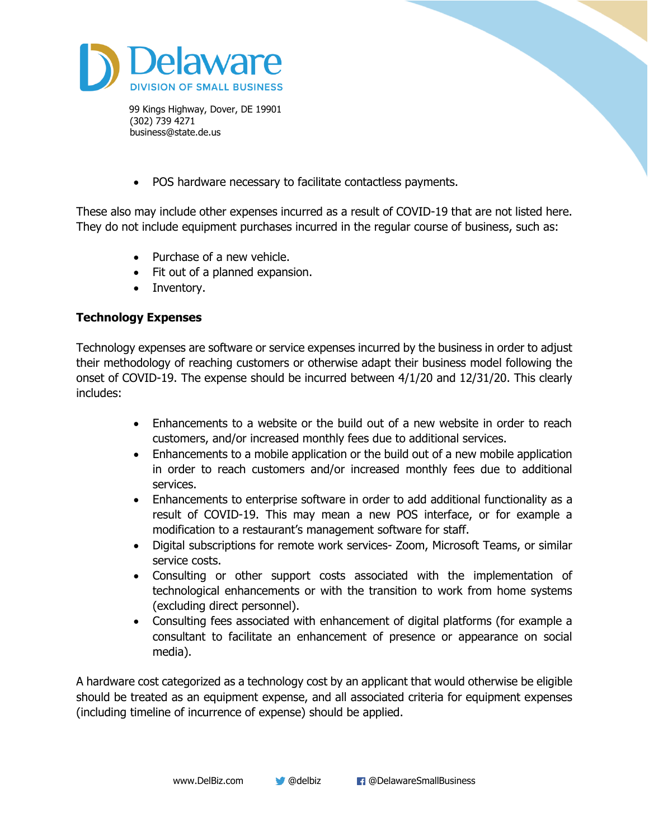

• POS hardware necessary to facilitate contactless payments.

These also may include other expenses incurred as a result of COVID-19 that are not listed here. They do not include equipment purchases incurred in the regular course of business, such as:

- Purchase of a new vehicle.
- Fit out of a planned expansion.
- Inventory.

### **Technology Expenses**

Technology expenses are software or service expenses incurred by the business in order to adjust their methodology of reaching customers or otherwise adapt their business model following the onset of COVID-19. The expense should be incurred between 4/1/20 and 12/31/20. This clearly includes:

- Enhancements to a website or the build out of a new website in order to reach customers, and/or increased monthly fees due to additional services.
- Enhancements to a mobile application or the build out of a new mobile application in order to reach customers and/or increased monthly fees due to additional services.
- Enhancements to enterprise software in order to add additional functionality as a result of COVID-19. This may mean a new POS interface, or for example a modification to a restaurant's management software for staff.
- Digital subscriptions for remote work services- Zoom, Microsoft Teams, or similar service costs.
- Consulting or other support costs associated with the implementation of technological enhancements or with the transition to work from home systems (excluding direct personnel).
- Consulting fees associated with enhancement of digital platforms (for example a consultant to facilitate an enhancement of presence or appearance on social media).

A hardware cost categorized as a technology cost by an applicant that would otherwise be eligible should be treated as an equipment expense, and all associated criteria for equipment expenses (including timeline of incurrence of expense) should be applied.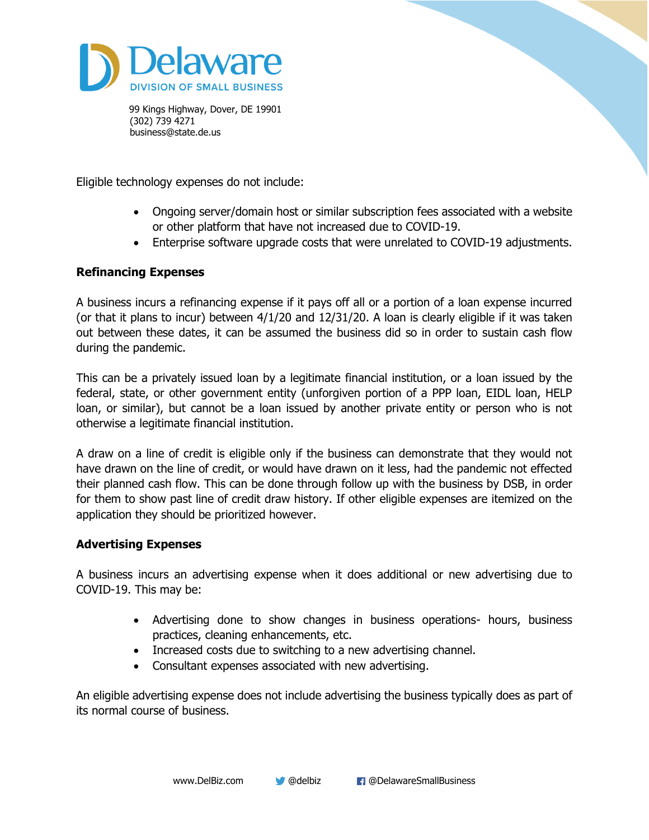

Eligible technology expenses do not include:

- Ongoing server/domain host or similar subscription fees associated with a website or other platform that have not increased due to COVID-19.
- Enterprise software upgrade costs that were unrelated to COVID-19 adjustments.

## **Refinancing Expenses**

A business incurs a refinancing expense if it pays off all or a portion of a loan expense incurred (or that it plans to incur) between 4/1/20 and 12/31/20. A loan is clearly eligible if it was taken out between these dates, it can be assumed the business did so in order to sustain cash flow during the pandemic.

This can be a privately issued loan by a legitimate financial institution, or a loan issued by the federal, state, or other government entity (unforgiven portion of a PPP loan, EIDL loan, HELP loan, or similar), but cannot be a loan issued by another private entity or person who is not otherwise a legitimate financial institution.

A draw on a line of credit is eligible only if the business can demonstrate that they would not have drawn on the line of credit, or would have drawn on it less, had the pandemic not effected their planned cash flow. This can be done through follow up with the business by DSB, in order for them to show past line of credit draw history. If other eligible expenses are itemized on the application they should be prioritized however.

## **Advertising Expenses**

A business incurs an advertising expense when it does additional or new advertising due to COVID-19. This may be:

- Advertising done to show changes in business operations- hours, business practices, cleaning enhancements, etc.
- Increased costs due to switching to a new advertising channel.
- Consultant expenses associated with new advertising.

An eligible advertising expense does not include advertising the business typically does as part of its normal course of business.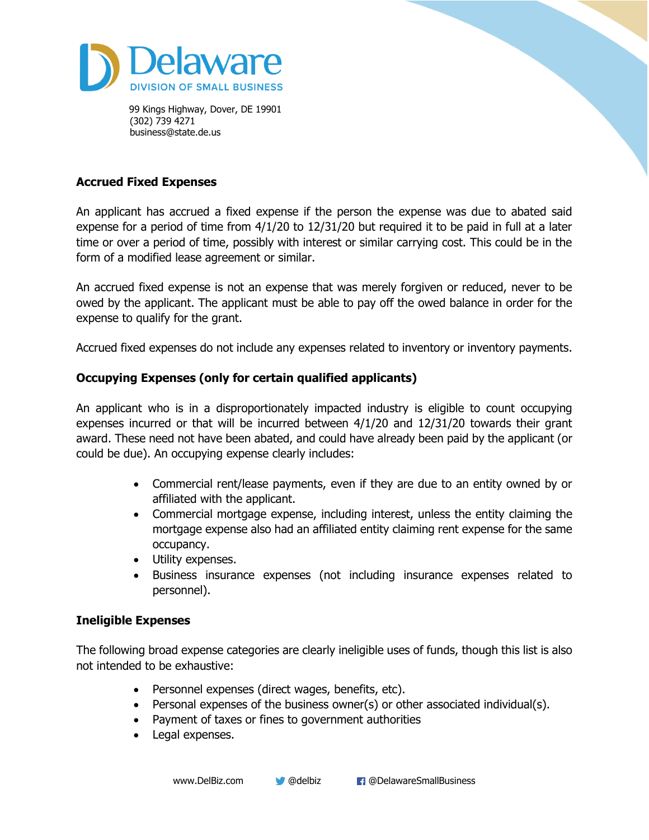

### **Accrued Fixed Expenses**

An applicant has accrued a fixed expense if the person the expense was due to abated said expense for a period of time from 4/1/20 to 12/31/20 but required it to be paid in full at a later time or over a period of time, possibly with interest or similar carrying cost. This could be in the form of a modified lease agreement or similar.

An accrued fixed expense is not an expense that was merely forgiven or reduced, never to be owed by the applicant. The applicant must be able to pay off the owed balance in order for the expense to qualify for the grant.

Accrued fixed expenses do not include any expenses related to inventory or inventory payments.

#### **Occupying Expenses (only for certain qualified applicants)**

An applicant who is in a disproportionately impacted industry is eligible to count occupying expenses incurred or that will be incurred between 4/1/20 and 12/31/20 towards their grant award. These need not have been abated, and could have already been paid by the applicant (or could be due). An occupying expense clearly includes:

- Commercial rent/lease payments, even if they are due to an entity owned by or affiliated with the applicant.
- Commercial mortgage expense, including interest, unless the entity claiming the mortgage expense also had an affiliated entity claiming rent expense for the same occupancy.
- Utility expenses.
- Business insurance expenses (not including insurance expenses related to personnel).

#### **Ineligible Expenses**

The following broad expense categories are clearly ineligible uses of funds, though this list is also not intended to be exhaustive:

- Personnel expenses (direct wages, benefits, etc).
- Personal expenses of the business owner(s) or other associated individual(s).
- Payment of taxes or fines to government authorities
- Legal expenses.